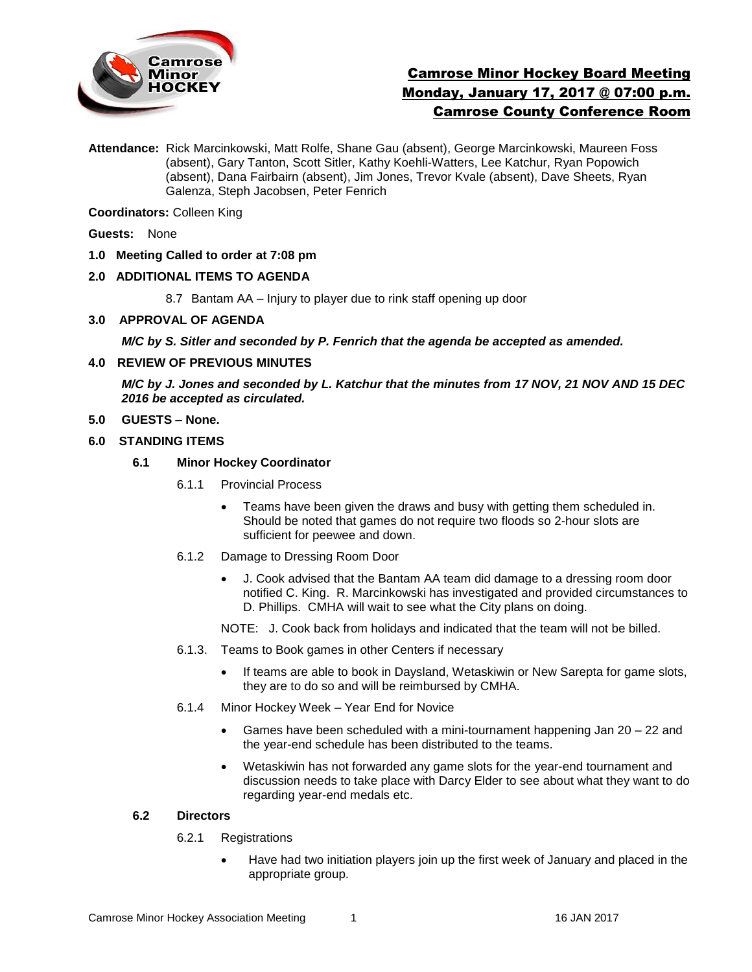

# Camrose Minor Hockey Board Meeting Monday, January 17, 2017 @ 07:00 p.m. Camrose County Conference Room

**Attendance:** Rick Marcinkowski, Matt Rolfe, Shane Gau (absent), George Marcinkowski, Maureen Foss (absent), Gary Tanton, Scott Sitler, Kathy Koehli-Watters, Lee Katchur, Ryan Popowich (absent), Dana Fairbairn (absent), Jim Jones, Trevor Kvale (absent), Dave Sheets, Ryan Galenza, Steph Jacobsen, Peter Fenrich

**Coordinators:** Colleen King

**Guests:** None

**1.0 Meeting Called to order at 7:08 pm**

## **2.0 ADDITIONAL ITEMS TO AGENDA**

8.7 Bantam AA – Injury to player due to rink staff opening up door

**3.0 APPROVAL OF AGENDA**

*M/C by S. Sitler and seconded by P. Fenrich that the agenda be accepted as amended.* 

### **4.0 REVIEW OF PREVIOUS MINUTES**

*M/C by J. Jones and seconded by L. Katchur that the minutes from 17 NOV, 21 NOV AND 15 DEC 2016 be accepted as circulated.*

**5.0 GUESTS – None.** 

### **6.0 STANDING ITEMS**

### **6.1 Minor Hockey Coordinator**

- 6.1.1 Provincial Process
	- Teams have been given the draws and busy with getting them scheduled in. Should be noted that games do not require two floods so 2-hour slots are sufficient for peewee and down.
- 6.1.2 Damage to Dressing Room Door
	- J. Cook advised that the Bantam AA team did damage to a dressing room door notified C. King. R. Marcinkowski has investigated and provided circumstances to D. Phillips. CMHA will wait to see what the City plans on doing.

NOTE: J. Cook back from holidays and indicated that the team will not be billed.

- 6.1.3. Teams to Book games in other Centers if necessary
	- If teams are able to book in Daysland, Wetaskiwin or New Sarepta for game slots, they are to do so and will be reimbursed by CMHA.
- 6.1.4 Minor Hockey Week Year End for Novice
	- Games have been scheduled with a mini-tournament happening Jan 20 22 and the year-end schedule has been distributed to the teams.
	- Wetaskiwin has not forwarded any game slots for the year-end tournament and discussion needs to take place with Darcy Elder to see about what they want to do regarding year-end medals etc.

### **6.2 Directors**

- 6.2.1 Registrations
	- Have had two initiation players join up the first week of January and placed in the appropriate group.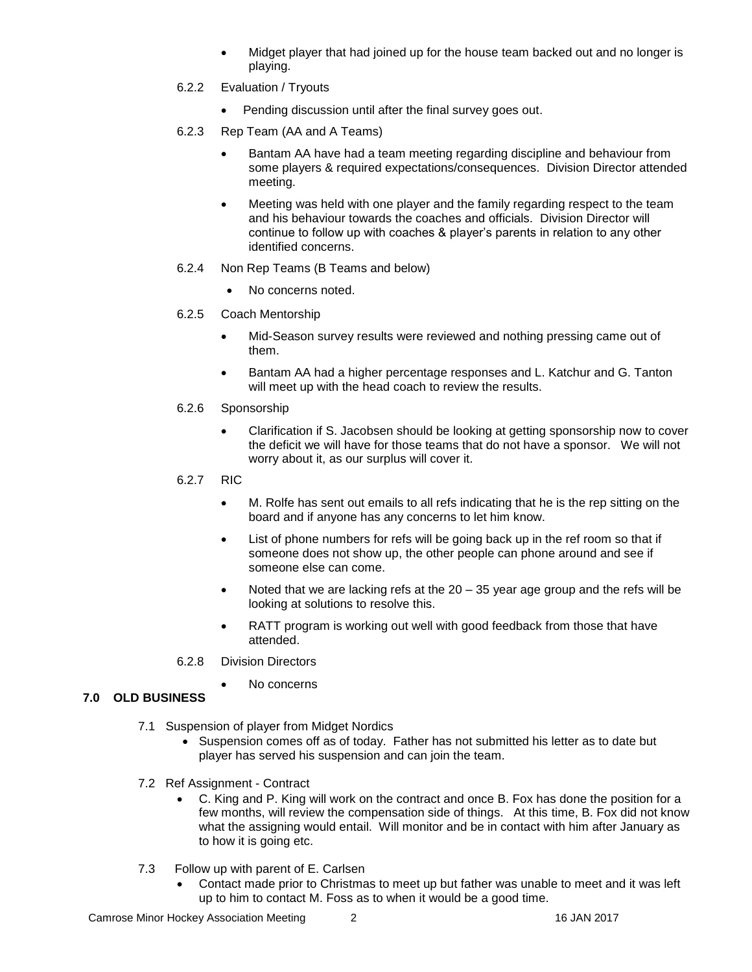- Midget player that had joined up for the house team backed out and no longer is playing.
- 6.2.2 Evaluation / Tryouts
	- Pending discussion until after the final survey goes out.
- 6.2.3 Rep Team (AA and A Teams)
	- Bantam AA have had a team meeting regarding discipline and behaviour from some players & required expectations/consequences. Division Director attended meeting.
	- Meeting was held with one player and the family regarding respect to the team and his behaviour towards the coaches and officials. Division Director will continue to follow up with coaches & player's parents in relation to any other identified concerns.
- 6.2.4 Non Rep Teams (B Teams and below)
	- No concerns noted.
- 6.2.5 Coach Mentorship
	- Mid-Season survey results were reviewed and nothing pressing came out of them.
	- Bantam AA had a higher percentage responses and L. Katchur and G. Tanton will meet up with the head coach to review the results.
- 6.2.6 Sponsorship
	- Clarification if S. Jacobsen should be looking at getting sponsorship now to cover the deficit we will have for those teams that do not have a sponsor. We will not worry about it, as our surplus will cover it.
- 6.2.7 RIC
	- M. Rolfe has sent out emails to all refs indicating that he is the rep sitting on the board and if anyone has any concerns to let him know.
	- List of phone numbers for refs will be going back up in the ref room so that if someone does not show up, the other people can phone around and see if someone else can come.
	- Noted that we are lacking refs at the  $20 35$  year age group and the refs will be looking at solutions to resolve this.
	- RATT program is working out well with good feedback from those that have attended.
- 6.2.8 Division Directors
	- No concerns

## **7.0 OLD BUSINESS**

- 7.1 Suspension of player from Midget Nordics
	- Suspension comes off as of today. Father has not submitted his letter as to date but player has served his suspension and can join the team.
- 7.2 Ref Assignment Contract
	- C. King and P. King will work on the contract and once B. Fox has done the position for a few months, will review the compensation side of things. At this time, B. Fox did not know what the assigning would entail. Will monitor and be in contact with him after January as to how it is going etc.
- 7.3 Follow up with parent of E. Carlsen
	- Contact made prior to Christmas to meet up but father was unable to meet and it was left up to him to contact M. Foss as to when it would be a good time.